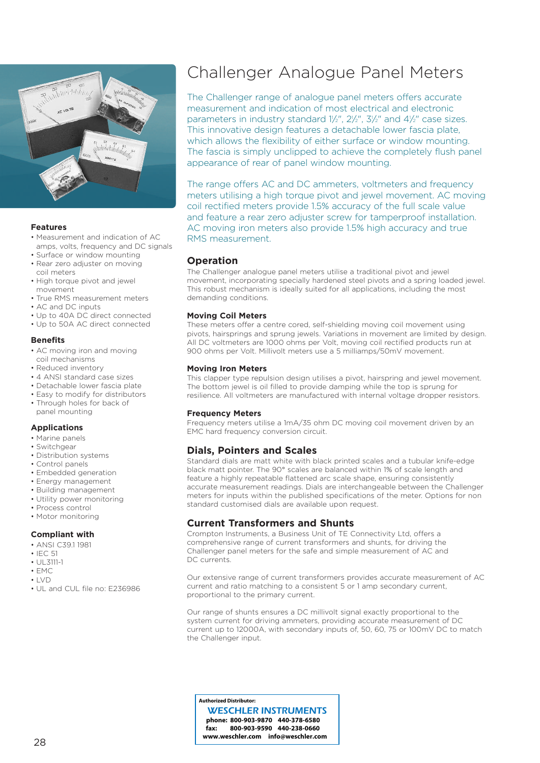

#### **Features**

- Measurement and indication of AC amps, volts, frequency and DC signals
- Surface or window mounting
- Rear zero adjuster on moving coil meters
- High torque pivot and jewel movement
- True RMS measurement meters
- AC and DC inputs
- Up to 40A DC direct connected
- Up to 50A AC direct connected

### **Benefits**

- AC moving iron and moving coil mechanisms
- Reduced inventory
- 4 ANSI standard case sizes
- Detachable lower fascia plate
- Easy to modify for distributors
- Through holes for back of panel mounting

## **Applications**

- Marine panels
- Switchgear
- Distribution systems
- Control panels
- Embedded generation
- Energy management
- Building management
- Utility power monitoring
- Process control
- Motor monitoring

#### **Compliant with**

- ANSI C39.1 1981
- IEC 51
- UL3111-1
- $\cdot$  FMC
- LVD
- UL and CUL file no: E236986

# Challenger Analogue Panel Meters

The Challenger range of analogue panel meters offers accurate measurement and indication of most electrical and electronic parameters in industry standard  $1\frac{1}{2}$ ",  $2\frac{1}{2}$ ",  $3\frac{1}{2}$ " and  $4\frac{1}{2}$ " case sizes. This innovative design features a detachable lower fascia plate, which allows the flexibility of either surface or window mounting. The fascia is simply unclipped to achieve the completely flush panel appearance of rear of panel window mounting.

The range offers AC and DC ammeters, voltmeters and frequency meters utilising a high torque pivot and jewel movement. AC moving coil rectified meters provide 1.5% accuracy of the full scale value and feature a rear zero adjuster screw for tamperproof installation. AC moving iron meters also provide 1.5% high accuracy and true RMS measurement.

# **Operation**

The Challenger analogue panel meters utilise a traditional pivot and jewel movement, incorporating specially hardened steel pivots and a spring loaded jewel. This robust mechanism is ideally suited for all applications, including the most demanding conditions.

### **Moving Coil Meters**

These meters offer a centre cored, self-shielding moving coil movement using pivots, hairsprings and sprung jewels. Variations in movement are limited by design. All DC voltmeters are 1000 ohms per Volt, moving coil rectified products run at 900 ohms per Volt. Millivolt meters use a 5 milliamps/50mV movement.

### **Moving Iron Meters**

This clapper type repulsion design utilises a pivot, hairspring and jewel movement. The bottom jewel is oil filled to provide damping while the top is sprung for resilience. All voltmeters are manufactured with internal voltage dropper resistors.

#### **Frequency Meters**

Frequency meters utilise a 1mA/35 ohm DC moving coil movement driven by an EMC hard frequency conversion circuit.

# **Dials, Pointers and Scales**

Standard dials are matt white with black printed scales and a tubular knife-edge black matt pointer. The 90° scales are balanced within 1% of scale length and feature a highly repeatable flattened arc scale shape, ensuring consistently accurate measurement readings. Dials are interchangeable between the Challenger meters for inputs within the published specifications of the meter. Options for non standard customised dials are available upon request.

## **Current Transformers and Shunts**

Crompton Instruments, a Business Unit of TE Connectivity Ltd, offers a comprehensive range of current transformers and shunts, for driving the Challenger panel meters for the safe and simple measurement of AC and DC currents.

Our extensive range of current transformers provides accurate measurement of AC current and ratio matching to a consistent 5 or 1 amp secondary current, proportional to the primary current.

Our range of shunts ensures a DC millivolt signal exactly proportional to the system current for driving ammeters, providing accurate measurement of DC current up to 12000A, with secondary inputs of, 50, 60, 75 or 100mV DC to match the Challenger input.

**Authorized Distributor:**

**phone: 800-903-9870 440-378-6580 fax: 800-903-9590 440-238-0660 www.weschler.com info@weschler.com** WESCHLER INSTRUMENTS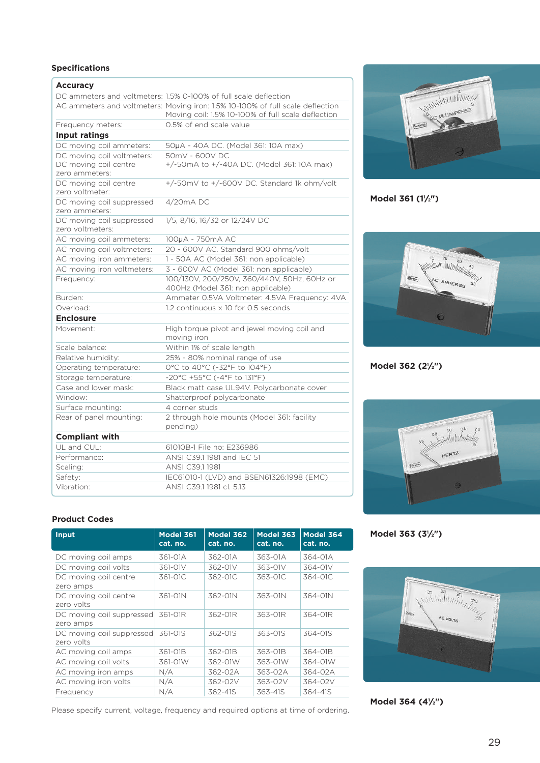# **Specifications**

| <b>Accuracy</b>                               |                                                                                                                                      |  |  |
|-----------------------------------------------|--------------------------------------------------------------------------------------------------------------------------------------|--|--|
|                                               | DC ammeters and voltmeters: 1.5% 0-100% of full scale deflection                                                                     |  |  |
|                                               | AC ammeters and voltmeters: Moving iron: 1.5% 10-100% of full scale deflection<br>Moving coil: 1.5% 10-100% of full scale deflection |  |  |
| Frequency meters:                             | 0.5% of end scale value                                                                                                              |  |  |
| Input ratings                                 |                                                                                                                                      |  |  |
| DC moving coil ammeters:                      | 50µA - 40A DC. (Model 361: 10A max)                                                                                                  |  |  |
| DC moving coil voltmeters:                    | 50mV - 600V DC                                                                                                                       |  |  |
| DC moving coil centre<br>zero ammeters:       | +/-50mA to +/-40A DC. (Model 361: 10A max)                                                                                           |  |  |
| DC moving coil centre<br>zero voltmeter:      | +/-50mV to +/-600V DC. Standard 1k ohm/volt                                                                                          |  |  |
| DC moving coil suppressed<br>zero ammeters:   | $4/20mA$ DC                                                                                                                          |  |  |
| DC moving coil suppressed<br>zero voltmeters: | 1/5, 8/16, 16/32 or 12/24V DC                                                                                                        |  |  |
| AC moving coil ammeters:                      | 100µA - 750mA AC                                                                                                                     |  |  |
| AC moving coil voltmeters:                    | 20 - 600V AC. Standard 900 ohms/volt                                                                                                 |  |  |
| AC moving iron ammeters:                      | 1 - 50A AC (Model 361: non applicable)                                                                                               |  |  |
| AC moving iron voltmeters:                    | 3 - 600V AC (Model 361: non applicable)                                                                                              |  |  |
| Frequency:                                    | 100/130V, 200/250V, 360/440V, 50Hz, 60Hz or<br>400Hz (Model 361: non applicable)                                                     |  |  |
| Burden:                                       | Ammeter 0.5VA Voltmeter: 4.5VA Frequency: 4VA                                                                                        |  |  |
| Overload:                                     | 1.2 continuous x 10 for 0.5 seconds                                                                                                  |  |  |
| <b>Enclosure</b>                              |                                                                                                                                      |  |  |
| Movement:                                     | High torque pivot and jewel moving coil and<br>moving iron                                                                           |  |  |
| Scale balance:                                | Within 1% of scale length                                                                                                            |  |  |
| Relative humidity:                            | 25% - 80% nominal range of use                                                                                                       |  |  |
| Operating temperature:                        | 0°C to 40°C (-32°F to 104°F)                                                                                                         |  |  |
| Storage temperature:                          | -20°C +55°C (-4°F to 131°F)                                                                                                          |  |  |
| Case and lower mask:                          | Black matt case UL94V. Polycarbonate cover                                                                                           |  |  |
| Window:                                       | Shatterproof polycarbonate                                                                                                           |  |  |
| Surface mounting:                             | 4 corner studs                                                                                                                       |  |  |
| Rear of panel mounting:                       | 2 through hole mounts (Model 361: facility<br>pending)                                                                               |  |  |
| <b>Compliant with</b>                         |                                                                                                                                      |  |  |
| UL and CUL:                                   | 61010B-1 File no: E236986                                                                                                            |  |  |
| Performance:                                  | ANSI C39.1 1981 and IEC 51                                                                                                           |  |  |
| Scaling:                                      | ANSI C39.1 1981                                                                                                                      |  |  |
| Safety:                                       | IEC61010-1 (LVD) and BSEN61326:1998 (EMC)                                                                                            |  |  |
| Vibration:                                    | ANSI C39.1 1981 cl. 5.13                                                                                                             |  |  |



**Model 361 (11 ⁄2")**



**Model 362 (21 ⁄2")**



**Product Codes**

| Input                                   | Model 361<br>cat. no. | <b>Model 362</b><br>cat. no. | <b>Model 363</b><br>cat. no. | Model 364<br>cat. no. |
|-----------------------------------------|-----------------------|------------------------------|------------------------------|-----------------------|
| DC moving coil amps                     | 361-01A               | 362-01A                      | 363-01A                      | 364-01A               |
| DC moving coil volts                    | 361-01V               | 362-01V                      | 363-01V                      | 364-01V               |
| DC moving coil centre<br>zero amps      | 361-01C               | 362-01C                      | 363-01C                      | 364-01C               |
| DC moving coil centre<br>zero volts     | 361-01N               | 362-01N                      | 363-01N                      | 364-01N               |
| DC moving coil suppressed<br>zero amps  | 361-01R               | 362-01R                      | 363-01R                      | 364-01R               |
| DC moving coil suppressed<br>zero volts | 361-01S               | 362-01S                      | 363-01S                      | 364-01S               |
| AC moving coil amps                     | 361-01B               | 362-01B                      | 363-01B                      | 364-01B               |
| AC moving coil volts                    | 361-01W               | 362-01W                      | 363-01W                      | 364-01W               |
| AC moving iron amps                     | N/A                   | 362-02A                      | 363-02A                      | 364-02A               |
| AC moving iron volts                    | N/A                   | 362-02V                      | 363-02V                      | 364-02V               |
| Frequency                               | N/A                   | 362-41S                      | 363-41S                      | 364-41S               |

Please specify current, voltage, frequency and required options at time of ordering.

**Model 363 (31 ⁄2")**



**Model 364 (41 ⁄2")**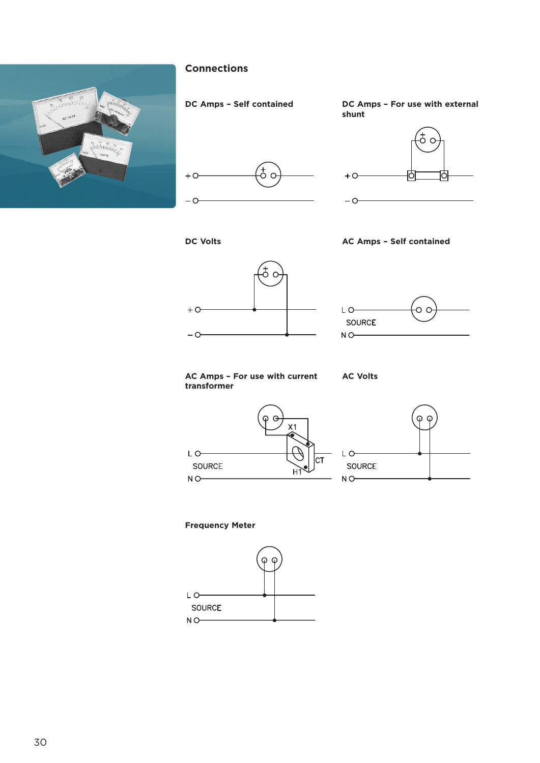

# **Connections**



**DC Amps – Self contained DC Amps – For use with external shunt**











**AC Amps – For use with current transformer**

**AC Volts**





# **Frequency Meter**

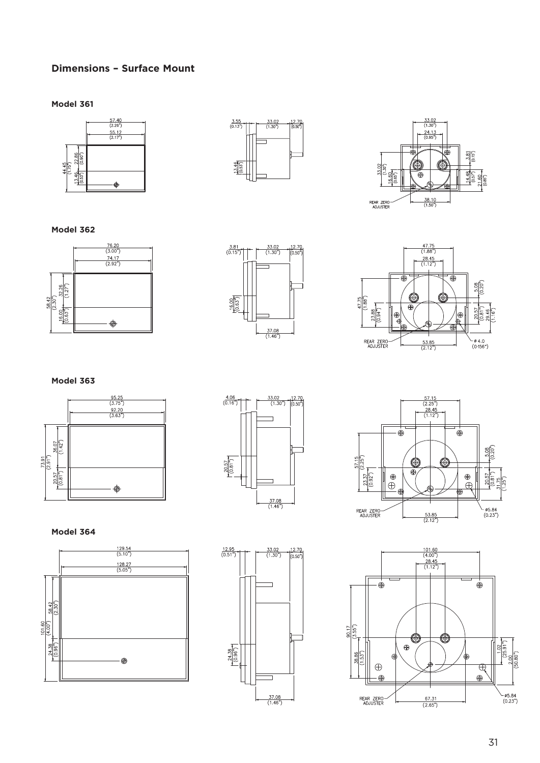# **Dimensions – Surface Mount**

**Model 361**







**Model 362**







# **Model 363**







## **Model 364**